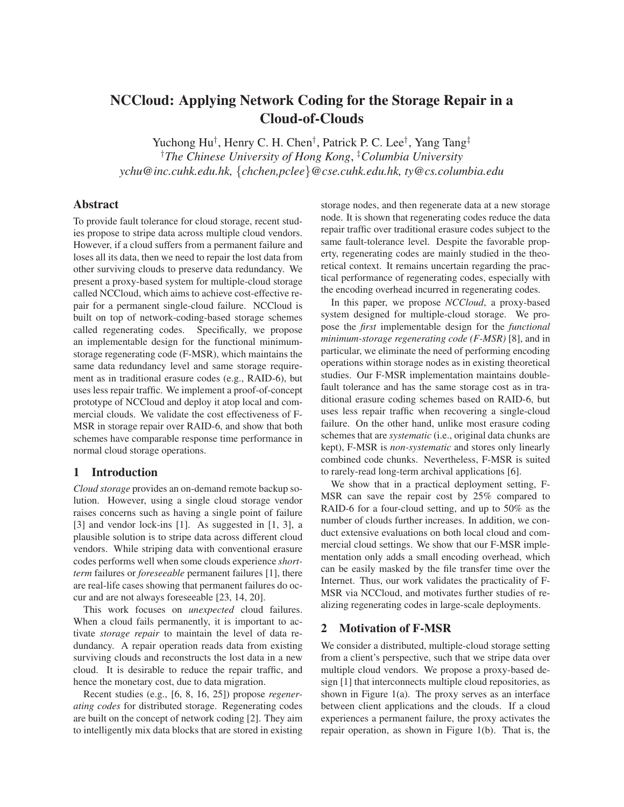# **NCCloud: Applying Network Coding for the Storage Repair in a Cloud-of-Clouds**

Yuchong Hu<sup>†</sup>, Henry C. H. Chen<sup>†</sup>, Patrick P. C. Lee<sup>†</sup>, Yang Tang<sup>‡</sup> †*The Chinese University of Hong Kong*, ‡*Columbia University ychu@inc.cuhk.edu.hk,* {*chchen,pclee*}*@cse.cuhk.edu.hk, ty@cs.columbia.edu*

# **Abstract**

To provide fault tolerance for cloud storage, recent studies propose to stripe data across multiple cloud vendors. However, if a cloud suffers from a permanent failure and loses all its data, then we need to repair the lost data from other surviving clouds to preserve data redundancy. We present a proxy-based system for multiple-cloud storage called NCCloud, which aims to achieve cost-effective repair for a permanent single-cloud failure. NCCloud is built on top of network-coding-based storage schemes called regenerating codes. Specifically, we propose an implementable design for the functional minimumstorage regenerating code (F-MSR), which maintains the same data redundancy level and same storage requirement as in traditional erasure codes (e.g., RAID-6), but uses less repair traffic. We implement a proof-of-concept prototype of NCCloud and deploy it atop local and commercial clouds. We validate the cost effectiveness of F-MSR in storage repair over RAID-6, and show that both schemes have comparable response time performance in normal cloud storage operations.

# **1 Introduction**

*Cloud storage* provides an on-demand remote backup solution. However, using a single cloud storage vendor raises concerns such as having a single point of failure [3] and vendor lock-ins [1]. As suggested in [1, 3], a plausible solution is to stripe data across different cloud vendors. While striping data with conventional erasure codes performs well when some clouds experience *shortterm* failures or *foreseeable* permanent failures [1], there are real-life cases showing that permanent failures do occur and are not always foreseeable [23, 14, 20].

This work focuses on *unexpected* cloud failures. When a cloud fails permanently, it is important to activate *storage repair* to maintain the level of data redundancy. A repair operation reads data from existing surviving clouds and reconstructs the lost data in a new cloud. It is desirable to reduce the repair traffic, and hence the monetary cost, due to data migration.

Recent studies (e.g., [6, 8, 16, 25]) propose *regenerating codes* for distributed storage. Regenerating codes are built on the concept of network coding [2]. They aim to intelligently mix data blocks that are stored in existing storage nodes, and then regenerate data at a new storage node. It is shown that regenerating codes reduce the data repair traffic over traditional erasure codes subject to the same fault-tolerance level. Despite the favorable property, regenerating codes are mainly studied in the theoretical context. It remains uncertain regarding the practical performance of regenerating codes, especially with the encoding overhead incurred in regenerating codes.

In this paper, we propose *NCCloud*, a proxy-based system designed for multiple-cloud storage. We propose the *first* implementable design for the *functional minimum-storage regenerating code (F-MSR)* [8], and in particular, we eliminate the need of performing encoding operations within storage nodes as in existing theoretical studies. Our F-MSR implementation maintains doublefault tolerance and has the same storage cost as in traditional erasure coding schemes based on RAID-6, but uses less repair traffic when recovering a single-cloud failure. On the other hand, unlike most erasure coding schemes that are *systematic* (i.e., original data chunks are kept), F-MSR is *non-systematic* and stores only linearly combined code chunks. Nevertheless, F-MSR is suited to rarely-read long-term archival applications [6].

We show that in a practical deployment setting, F-MSR can save the repair cost by 25% compared to RAID-6 for a four-cloud setting, and up to 50% as the number of clouds further increases. In addition, we conduct extensive evaluations on both local cloud and commercial cloud settings. We show that our F-MSR implementation only adds a small encoding overhead, which can be easily masked by the file transfer time over the Internet. Thus, our work validates the practicality of F-MSR via NCCloud, and motivates further studies of realizing regenerating codes in large-scale deployments.

# **2 Motivation of F-MSR**

We consider a distributed, multiple-cloud storage setting from a client's perspective, such that we stripe data over multiple cloud vendors. We propose a proxy-based design [1] that interconnects multiple cloud repositories, as shown in Figure  $1(a)$ . The proxy serves as an interface between client applications and the clouds. If a cloud experiences a permanent failure, the proxy activates the repair operation, as shown in Figure 1(b). That is, the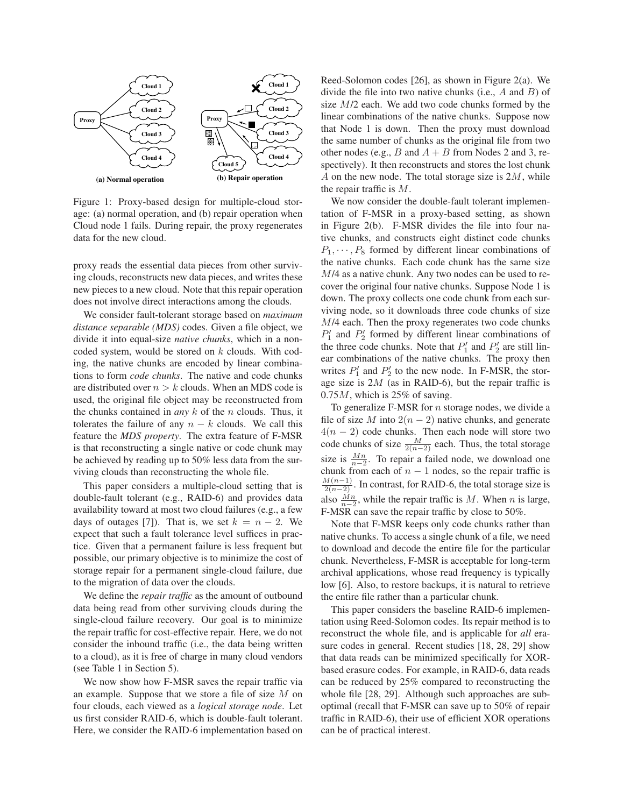

Figure 1: Proxy-based design for multiple-cloud storage: (a) normal operation, and (b) repair operation when Cloud node 1 fails. During repair, the proxy regenerates data for the new cloud.

proxy reads the essential data pieces from other surviving clouds, reconstructs new data pieces, and writes these new pieces to a new cloud. Note that this repair operation does not involve direct interactions among the clouds.

We consider fault-tolerant storage based on *maximum distance separable (MDS)* codes. Given a file object, we divide it into equal-size *native chunks*, which in a noncoded system, would be stored on  $k$  clouds. With coding, the native chunks are encoded by linear combinations to form *code chunks*. The native and code chunks are distributed over  $n > k$  clouds. When an MDS code is used, the original file object may be reconstructed from the chunks contained in *any* k of the n clouds. Thus, it tolerates the failure of any  $n - k$  clouds. We call this feature the *MDS property*. The extra feature of F-MSR is that reconstructing a single native or code chunk may be achieved by reading up to 50% less data from the surviving clouds than reconstructing the whole file.

This paper considers a multiple-cloud setting that is double-fault tolerant (e.g., RAID-6) and provides data availability toward at most two cloud failures (e.g., a few days of outages [7]). That is, we set  $k = n - 2$ . We expect that such a fault tolerance level suffices in practice. Given that a permanent failure is less frequent but possible, our primary objective is to minimize the cost of storage repair for a permanent single-cloud failure, due to the migration of data over the clouds.

We define the *repair traffic* as the amount of outbound data being read from other surviving clouds during the single-cloud failure recovery. Our goal is to minimize the repair traffic for cost-effective repair. Here, we do not consider the inbound traffic (i.e., the data being written to a cloud), as it is free of charge in many cloud vendors (see Table 1 in Section 5).

We now show how F-MSR saves the repair traffic via an example. Suppose that we store a file of size M on four clouds, each viewed as a *logical storage node*. Let us first consider RAID-6, which is double-fault tolerant. Here, we consider the RAID-6 implementation based on Reed-Solomon codes [26], as shown in Figure 2(a). We divide the file into two native chunks (i.e.,  $A$  and  $B$ ) of size  $M/2$  each. We add two code chunks formed by the linear combinations of the native chunks. Suppose now that Node 1 is down. Then the proxy must download the same number of chunks as the original file from two other nodes (e.g., B and  $A + B$  from Nodes 2 and 3, respectively). It then reconstructs and stores the lost chunk A on the new node. The total storage size is  $2M$ , while the repair traffic is M.

We now consider the double-fault tolerant implementation of F-MSR in a proxy-based setting, as shown in Figure 2(b). F-MSR divides the file into four native chunks, and constructs eight distinct code chunks  $P_1, \dots, P_8$  formed by different linear combinations of the native chunks. Each code chunk has the same size M/4 as a native chunk. Any two nodes can be used to recover the original four native chunks. Suppose Node 1 is down. The proxy collects one code chunk from each surviving node, so it downloads three code chunks of size M/4 each. Then the proxy regenerates two code chunks  $P'_1$  and  $P'_2$  formed by different linear combinations of the three code chunks. Note that  $P'_1$  and  $P'_2$  are still linear combinations of the native chunks. The proxy then writes  $P'_1$  and  $P'_2$  to the new node. In F-MSR, the storage size is  $2M$  (as in RAID-6), but the repair traffic is  $0.75M$ , which is 25% of saving.

To generalize F-MSR for  $n$  storage nodes, we divide a file of size M into  $2(n-2)$  native chunks, and generate  $4(n - 2)$  code chunks. Then each node will store two code chunks of size  $\frac{M}{2(n-2)}$  each. Thus, the total storage size is  $\frac{Mn}{n-2}$ . To repair a failed node, we download one chunk from each of  $n - 1$  nodes, so the repair traffic is  $\frac{M(n-1)}{2(n-2)}$ . In contrast, for RAID-6, the total storage size is also  $\frac{Mn}{n-2}$ , while the repair traffic is M. When n is large, F-MSR can save the repair traffic by close to 50%.

Note that F-MSR keeps only code chunks rather than native chunks. To access a single chunk of a file, we need to download and decode the entire file for the particular chunk. Nevertheless, F-MSR is acceptable for long-term archival applications, whose read frequency is typically low [6]. Also, to restore backups, it is natural to retrieve the entire file rather than a particular chunk.

This paper considers the baseline RAID-6 implementation using Reed-Solomon codes. Its repair method is to reconstruct the whole file, and is applicable for *all* erasure codes in general. Recent studies [18, 28, 29] show that data reads can be minimized specifically for XORbased erasure codes. For example, in RAID-6, data reads can be reduced by 25% compared to reconstructing the whole file [28, 29]. Although such approaches are suboptimal (recall that F-MSR can save up to 50% of repair traffic in RAID-6), their use of efficient XOR operations can be of practical interest.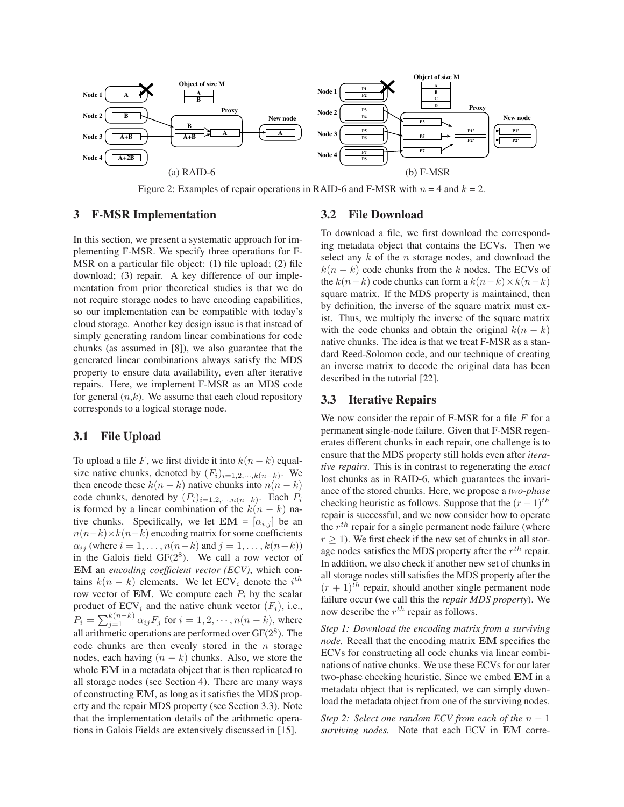

Figure 2: Examples of repair operations in RAID-6 and F-MSR with  $n = 4$  and  $k = 2$ .

#### **3 F-MSR Implementation**

In this section, we present a systematic approach for implementing F-MSR. We specify three operations for F-MSR on a particular file object: (1) file upload; (2) file download; (3) repair. A key difference of our implementation from prior theoretical studies is that we do not require storage nodes to have encoding capabilities, so our implementation can be compatible with today's cloud storage. Another key design issue is that instead of simply generating random linear combinations for code chunks (as assumed in [8]), we also guarantee that the generated linear combinations always satisfy the MDS property to ensure data availability, even after iterative repairs. Here, we implement F-MSR as an MDS code for general  $(n,k)$ . We assume that each cloud repository corresponds to a logical storage node.

# **3.1 File Upload**

To upload a file F, we first divide it into  $k(n - k)$  equalsize native chunks, denoted by  $(F_i)_{i=1,2,\dots,k(n-k)}$ . We then encode these  $k(n - k)$  native chunks into  $n(n - k)$ code chunks, denoted by  $(P_i)_{i=1,2,\dots,n(n-k)}$ . Each  $P_i$ is formed by a linear combination of the  $k(n - k)$  native chunks. Specifically, we let  $EM = [\alpha_{i,j}]$  be an  $n(n-k) \times k(n-k)$  encoding matrix for some coefficients  $\alpha_{ij}$  (where  $i = 1, \ldots, n(n-k)$  and  $j = 1, \ldots, k(n-k)$ ) in the Galois field  $GF(2^8)$ . We call a row vector of EM an *encoding coefficient vector (ECV)*, which contains  $k(n - k)$  elements. We let  $ECV_i$  denote the  $i^{th}$ row vector of **EM**. We compute each  $P_i$  by the scalar product of  $ECV_i$  and the native chunk vector  $(F_i)$ , i.e.,  $P_i = \sum_{j=1}^{k(n-k)} \alpha_{ij} F_j$  for  $i = 1, 2, \dots, n(n-k)$ , where all arithmetic operations are performed over  $GF(2^8)$ . The code chunks are then evenly stored in the  $n$  storage nodes, each having  $(n - k)$  chunks. Also, we store the whole EM in a metadata object that is then replicated to all storage nodes (see Section 4). There are many ways of constructing EM, as long as it satisfies the MDS property and the repair MDS property (see Section 3.3). Note that the implementation details of the arithmetic operations in Galois Fields are extensively discussed in [15].

#### **3.2 File Download**

To download a file, we first download the corresponding metadata object that contains the ECVs. Then we select any  $k$  of the  $n$  storage nodes, and download the  $k(n - k)$  code chunks from the k nodes. The ECVs of the  $k(n-k)$  code chunks can form a  $k(n-k) \times k(n-k)$ square matrix. If the MDS property is maintained, then by definition, the inverse of the square matrix must exist. Thus, we multiply the inverse of the square matrix with the code chunks and obtain the original  $k(n - k)$ native chunks. The idea is that we treat F-MSR as a standard Reed-Solomon code, and our technique of creating an inverse matrix to decode the original data has been described in the tutorial [22].

### **3.3 Iterative Repairs**

We now consider the repair of F-MSR for a file  $F$  for a permanent single-node failure. Given that F-MSR regenerates different chunks in each repair, one challenge is to ensure that the MDS property still holds even after *iterative repairs*. This is in contrast to regenerating the *exact* lost chunks as in RAID-6, which guarantees the invariance of the stored chunks. Here, we propose a *two-phase* checking heuristic as follows. Suppose that the  $(r-1)$ <sup>th</sup> repair is successful, and we now consider how to operate the  $r^{th}$  repair for a single permanent node failure (where  $r > 1$ ). We first check if the new set of chunks in all storage nodes satisfies the MDS property after the  $r^{th}$  repair. In addition, we also check if another new set of chunks in all storage nodes still satisfies the MDS property after the  $(r + 1)^{th}$  repair, should another single permanent node failure occur (we call this the *repair MDS property*). We now describe the  $r^{th}$  repair as follows.

*Step 1: Download the encoding matrix from a surviving node.* Recall that the encoding matrix EM specifies the ECVs for constructing all code chunks via linear combinations of native chunks. We use these ECVs for our later two-phase checking heuristic. Since we embed EM in a metadata object that is replicated, we can simply download the metadata object from one of the surviving nodes.

*Step 2: Select one random ECV from each of the*  $n - 1$ *surviving nodes.* Note that each ECV in EM corre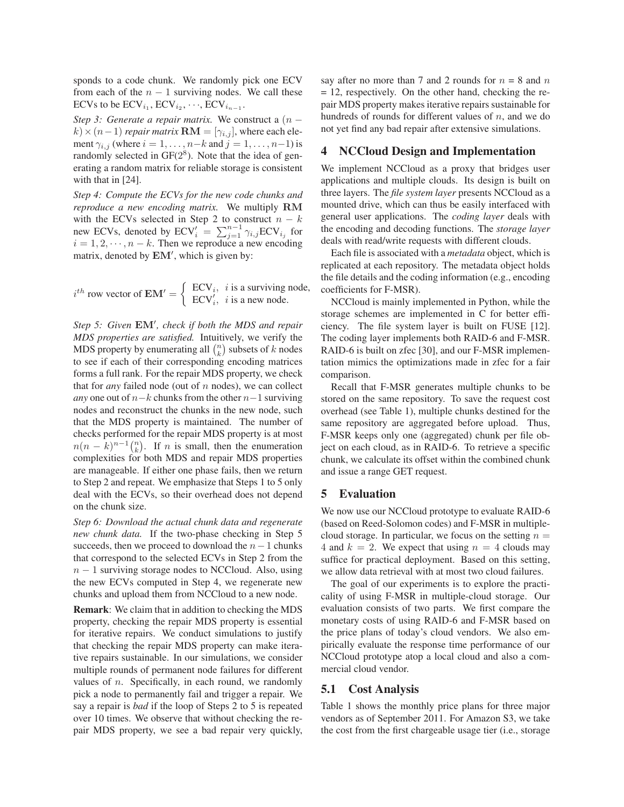sponds to a code chunk. We randomly pick one ECV from each of the  $n - 1$  surviving nodes. We call these ECVs to be  $\mathrm{ECV}_{i_1}, \mathrm{ECV}_{i_2}, \dots, \mathrm{ECV}_{i_{n-1}}.$ 

*Step 3: Generate a repair matrix.* We construct a  $(n$  $k \times (n-1)$  *repair matrix*  $\mathbf{RM} = [\gamma_{i,j}]$ , where each element  $\gamma_{i,j}$  (where  $i = 1, \ldots, n-k$  and  $j = 1, \ldots, n-1$ ) is randomly selected in  $GF(2^8)$ . Note that the idea of generating a random matrix for reliable storage is consistent with that in [24].

*Step 4: Compute the ECVs for the new code chunks and reproduce a new encoding matrix.* We multiply RM with the ECVs selected in Step 2 to construct  $n - k$ new ECVs, denoted by  $ECV_i' = \sum_{j=1}^{n-1} \gamma_{i,j} ECV_{i,j}$  for  $i = 1, 2, \dots, n - k$ . Then we reproduce a new encoding matrix, denoted by  $EM'$ , which is given by:

$$
i^{th} \text{ row vector of } \mathbf{EM'} = \begin{cases} \n\mathbf{ECV}_i, & \text{if a surviving node,} \\ \n\mathbf{ECV}'_i, & \text{if a new node.} \n\end{cases}
$$

Step 5: Given **EM'**, check if both the MDS and repair *MDS properties are satisfied.* Intuitively, we verify the MDS property by enumerating all  $\binom{n}{k}$  subsets of k nodes to see if each of their corresponding encoding matrices forms a full rank. For the repair MDS property, we check that for *any* failed node (out of n nodes), we can collect *any* one out of  $n-k$  chunks from the other  $n-1$  surviving nodes and reconstruct the chunks in the new node, such that the MDS property is maintained. The number of checks performed for the repair MDS property is at most  $n(n-k)^{n-1}$ ( $\binom{n}{k}$ ). If n is small, then the enumeration complexities for both MDS and repair MDS properties are manageable. If either one phase fails, then we return to Step 2 and repeat. We emphasize that Steps 1 to 5 only deal with the ECVs, so their overhead does not depend on the chunk size.

*Step 6: Download the actual chunk data and regenerate new chunk data.* If the two-phase checking in Step 5 succeeds, then we proceed to download the  $n-1$  chunks that correspond to the selected ECVs in Step 2 from the  $n - 1$  surviving storage nodes to NCCloud. Also, using the new ECVs computed in Step 4, we regenerate new chunks and upload them from NCCloud to a new node.

**Remark**: We claim that in addition to checking the MDS property, checking the repair MDS property is essential for iterative repairs. We conduct simulations to justify that checking the repair MDS property can make iterative repairs sustainable. In our simulations, we consider multiple rounds of permanent node failures for different values of  $n$ . Specifically, in each round, we randomly pick a node to permanently fail and trigger a repair. We say a repair is *bad* if the loop of Steps 2 to 5 is repeated over 10 times. We observe that without checking the repair MDS property, we see a bad repair very quickly, say after no more than 7 and 2 rounds for  $n = 8$  and n = 12, respectively. On the other hand, checking the repair MDS property makes iterative repairs sustainable for hundreds of rounds for different values of  $n$ , and we do not yet find any bad repair after extensive simulations.

# **4 NCCloud Design and Implementation**

We implement NCCloud as a proxy that bridges user applications and multiple clouds. Its design is built on three layers. The *file system layer* presents NCCloud as a mounted drive, which can thus be easily interfaced with general user applications. The *coding layer* deals with the encoding and decoding functions. The *storage layer* deals with read/write requests with different clouds.

Each file is associated with a *metadata* object, which is replicated at each repository. The metadata object holds the file details and the coding information (e.g., encoding coefficients for F-MSR).

NCCloud is mainly implemented in Python, while the storage schemes are implemented in C for better efficiency. The file system layer is built on FUSE [12]. The coding layer implements both RAID-6 and F-MSR. RAID-6 is built on zfec [30], and our F-MSR implementation mimics the optimizations made in zfec for a fair comparison.

Recall that F-MSR generates multiple chunks to be stored on the same repository. To save the request cost overhead (see Table 1), multiple chunks destined for the same repository are aggregated before upload. Thus, F-MSR keeps only one (aggregated) chunk per file object on each cloud, as in RAID-6. To retrieve a specific chunk, we calculate its offset within the combined chunk and issue a range GET request.

# **5 Evaluation**

We now use our NCCloud prototype to evaluate RAID-6 (based on Reed-Solomon codes) and F-MSR in multiplecloud storage. In particular, we focus on the setting  $n =$ 4 and  $k = 2$ . We expect that using  $n = 4$  clouds may suffice for practical deployment. Based on this setting, we allow data retrieval with at most two cloud failures.

The goal of our experiments is to explore the practicality of using F-MSR in multiple-cloud storage. Our evaluation consists of two parts. We first compare the monetary costs of using RAID-6 and F-MSR based on the price plans of today's cloud vendors. We also empirically evaluate the response time performance of our NCCloud prototype atop a local cloud and also a commercial cloud vendor.

#### **5.1 Cost Analysis**

Table 1 shows the monthly price plans for three major vendors as of September 2011. For Amazon S3, we take the cost from the first chargeable usage tier (i.e., storage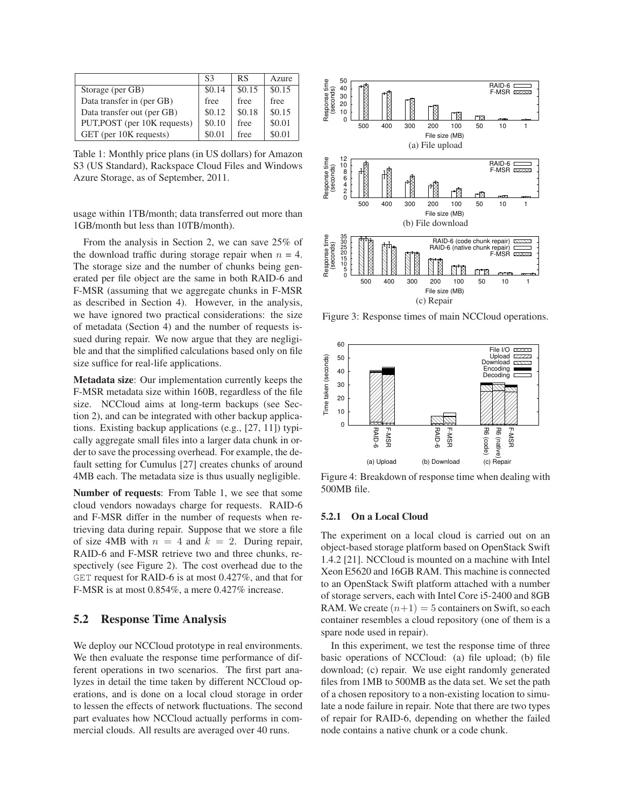|                              | S3     | RS     | Azure  |
|------------------------------|--------|--------|--------|
| Storage (per GB)             | \$0.14 | \$0.15 | \$0.15 |
| Data transfer in (per GB)    | free   | free   | free   |
| Data transfer out (per GB)   | \$0.12 | \$0.18 | \$0.15 |
| PUT, POST (per 10K requests) | \$0.10 | free   | \$0.01 |
| GET (per 10K requests)       | \$0.01 | free   | \$0.01 |

Table 1: Monthly price plans (in US dollars) for Amazon S3 (US Standard), Rackspace Cloud Files and Windows Azure Storage, as of September, 2011.

usage within 1TB/month; data transferred out more than 1GB/month but less than 10TB/month).

From the analysis in Section 2, we can save 25% of the download traffic during storage repair when  $n = 4$ . The storage size and the number of chunks being generated per file object are the same in both RAID-6 and F-MSR (assuming that we aggregate chunks in F-MSR as described in Section 4). However, in the analysis, we have ignored two practical considerations: the size of metadata (Section 4) and the number of requests issued during repair. We now argue that they are negligible and that the simplified calculations based only on file size suffice for real-life applications.

**Metadata size**: Our implementation currently keeps the F-MSR metadata size within 160B, regardless of the file size. NCCloud aims at long-term backups (see Section 2), and can be integrated with other backup applications. Existing backup applications (e.g., [27, 11]) typically aggregate small files into a larger data chunk in order to save the processing overhead. For example, the default setting for Cumulus [27] creates chunks of around 4MB each. The metadata size is thus usually negligible.

**Number of requests**: From Table 1, we see that some cloud vendors nowadays charge for requests. RAID-6 and F-MSR differ in the number of requests when retrieving data during repair. Suppose that we store a file of size 4MB with  $n = 4$  and  $k = 2$ . During repair, RAID-6 and F-MSR retrieve two and three chunks, respectively (see Figure 2). The cost overhead due to the GET request for RAID-6 is at most 0.427%, and that for F-MSR is at most 0.854%, a mere 0.427% increase.

# **5.2 Response Time Analysis**

We deploy our NCCloud prototype in real environments. We then evaluate the response time performance of different operations in two scenarios. The first part analyzes in detail the time taken by different NCCloud operations, and is done on a local cloud storage in order to lessen the effects of network fluctuations. The second part evaluates how NCCloud actually performs in commercial clouds. All results are averaged over 40 runs.



Figure 3: Response times of main NCCloud operations.



Figure 4: Breakdown of response time when dealing with 500MB file.

#### **5.2.1 On a Local Cloud**

The experiment on a local cloud is carried out on an object-based storage platform based on OpenStack Swift 1.4.2 [21]. NCCloud is mounted on a machine with Intel Xeon E5620 and 16GB RAM. This machine is connected to an OpenStack Swift platform attached with a number of storage servers, each with Intel Core i5-2400 and 8GB RAM. We create  $(n+1) = 5$  containers on Swift, so each container resembles a cloud repository (one of them is a spare node used in repair).

In this experiment, we test the response time of three basic operations of NCCloud: (a) file upload; (b) file download; (c) repair. We use eight randomly generated files from 1MB to 500MB as the data set. We set the path of a chosen repository to a non-existing location to simulate a node failure in repair. Note that there are two types of repair for RAID-6, depending on whether the failed node contains a native chunk or a code chunk.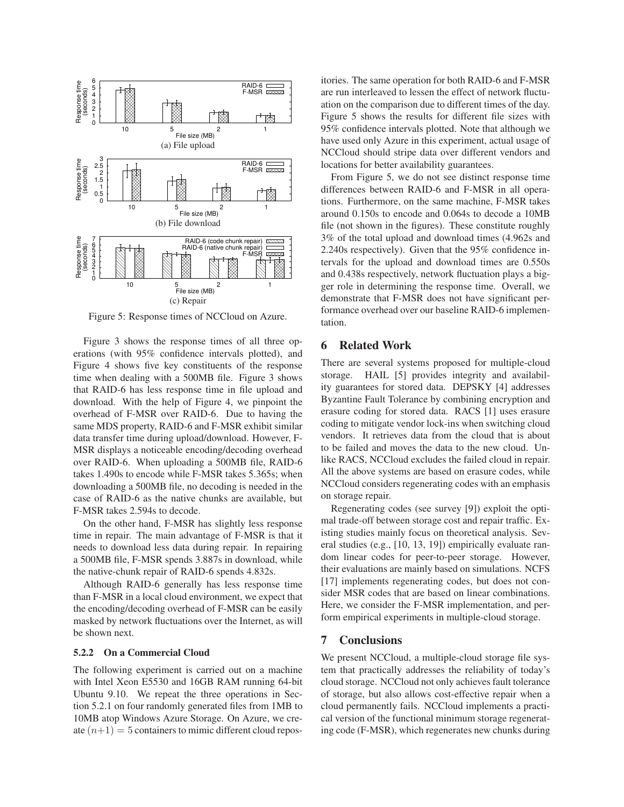

Figure 5: Response times of NCCloud on Azure.

Figure 3 shows the response times of all three operations (with 95% confidence intervals plotted), and Figure 4 shows five key constituents of the response time when dealing with a 500MB file. Figure 3 shows that RAID-6 has less response time in file upload and download. With the help of Figure 4, we pinpoint the overhead of F-MSR over RAID-6. Due to having the same MDS property, RAID-6 and F-MSR exhibit similar data transfer time during upload/download. However, F-MSR displays a noticeable encoding/decoding overhead over RAID-6. When uploading a 500MB file, RAID-6 takes 1.490s to encode while F-MSR takes 5.365s; when downloading a 500MB file, no decoding is needed in the case of RAID-6 as the native chunks are available, but F-MSR takes 2.594s to decode.

On the other hand, F-MSR has slightly less response time in repair. The main advantage of F-MSR is that it needs to download less data during repair. In repairing a 500MB file, F-MSR spends 3.887s in download, while the native-chunk repair of RAID-6 spends 4.832s.

Although RAID-6 generally has less response time than F-MSR in a local cloud environment, we expect that the encoding/decoding overhead of F-MSR can be easily masked by network fluctuations over the Internet, as will be shown next.

#### **5.2.2 On a Commercial Cloud**

The following experiment is carried out on a machine with Intel Xeon E5530 and 16GB RAM running 64-bit Ubuntu 9.10. We repeat the three operations in Section 5.2.1 on four randomly generated files from 1MB to 10MB atop Windows Azure Storage. On Azure, we create  $(n+1) = 5$  containers to mimic different cloud repositories. The same operation for both RAID-6 and F-MSR are run interleaved to lessen the effect of network fluctuation on the comparison due to different times of the day. Figure 5 shows the results for different file sizes with 95% confidence intervals plotted. Note that although we have used only Azure in this experiment, actual usage of NCCloud should stripe data over different vendors and locations for better availability guarantees.

From Figure 5, we do not see distinct response time differences between RAID-6 and F-MSR in all operations. Furthermore, on the same machine, F-MSR takes around 0.150s to encode and 0.064s to decode a 10MB file (not shown in the figures). These constitute roughly 3% of the total upload and download times (4.962s and 2.240s respectively). Given that the 95% confidence intervals for the upload and download times are 0.550s and 0.438s respectively, network fluctuation plays a bigger role in determining the response time. Overall, we demonstrate that F-MSR does not have significant performance overhead over our baseline RAID-6 implementation.

### **6 Related Work**

There are several systems proposed for multiple-cloud storage. HAIL [5] provides integrity and availability guarantees for stored data. DEPSKY [4] addresses Byzantine Fault Tolerance by combining encryption and erasure coding for stored data. RACS [1] uses erasure coding to mitigate vendor lock-ins when switching cloud vendors. It retrieves data from the cloud that is about to be failed and moves the data to the new cloud. Unlike RACS, NCCloud excludes the failed cloud in repair. All the above systems are based on erasure codes, while NCCloud considers regenerating codes with an emphasis on storage repair.

Regenerating codes (see survey [9]) exploit the optimal trade-off between storage cost and repair traffic. Existing studies mainly focus on theoretical analysis. Several studies (e.g., [10, 13, 19]) empirically evaluate random linear codes for peer-to-peer storage. However, their evaluations are mainly based on simulations. NCFS [17] implements regenerating codes, but does not consider MSR codes that are based on linear combinations. Here, we consider the F-MSR implementation, and perform empirical experiments in multiple-cloud storage.

# **7 Conclusions**

We present NCCloud, a multiple-cloud storage file system that practically addresses the reliability of today's cloud storage. NCCloud not only achieves fault tolerance of storage, but also allows cost-effective repair when a cloud permanently fails. NCCloud implements a practical version of the functional minimum storage regenerating code (F-MSR), which regenerates new chunks during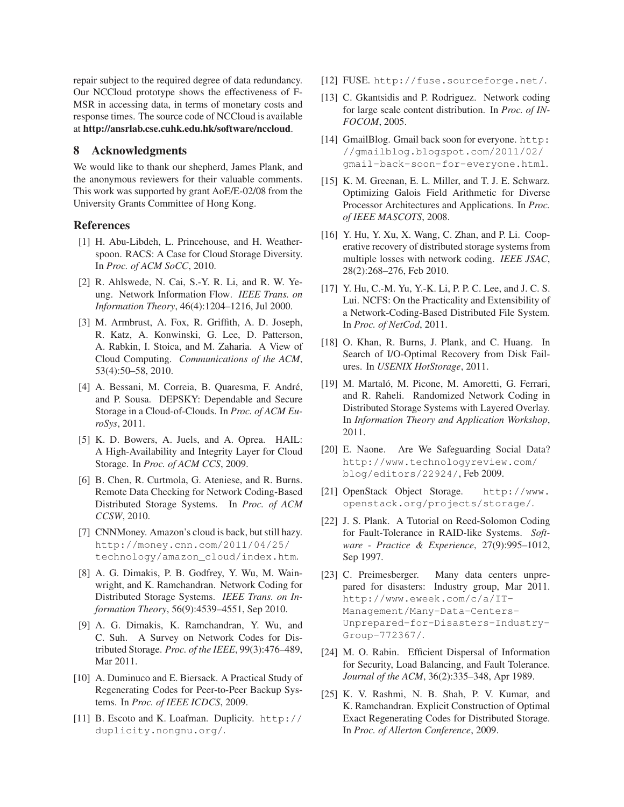repair subject to the required degree of data redundancy. Our NCCloud prototype shows the effectiveness of F-MSR in accessing data, in terms of monetary costs and response times. The source code of NCCloud is available at **http://ansrlab.cse.cuhk.edu.hk/software/nccloud**.

# **8 Acknowledgments**

We would like to thank our shepherd, James Plank, and the anonymous reviewers for their valuable comments. This work was supported by grant AoE/E-02/08 from the University Grants Committee of Hong Kong.

# **References**

- [1] H. Abu-Libdeh, L. Princehouse, and H. Weatherspoon. RACS: A Case for Cloud Storage Diversity. In *Proc. of ACM SoCC*, 2010.
- [2] R. Ahlswede, N. Cai, S.-Y. R. Li, and R. W. Yeung. Network Information Flow. *IEEE Trans. on Information Theory*, 46(4):1204–1216, Jul 2000.
- [3] M. Armbrust, A. Fox, R. Griffith, A. D. Joseph, R. Katz, A. Konwinski, G. Lee, D. Patterson, A. Rabkin, I. Stoica, and M. Zaharia. A View of Cloud Computing. *Communications of the ACM*, 53(4):50–58, 2010.
- [4] A. Bessani, M. Correia, B. Quaresma, F. Andre,´ and P. Sousa. DEPSKY: Dependable and Secure Storage in a Cloud-of-Clouds. In *Proc. of ACM EuroSys*, 2011.
- [5] K. D. Bowers, A. Juels, and A. Oprea. HAIL: A High-Availability and Integrity Layer for Cloud Storage. In *Proc. of ACM CCS*, 2009.
- [6] B. Chen, R. Curtmola, G. Ateniese, and R. Burns. Remote Data Checking for Network Coding-Based Distributed Storage Systems. In *Proc. of ACM CCSW*, 2010.
- [7] CNNMoney. Amazon's cloud is back, but still hazy. http://money.cnn.com/2011/04/25/ technology/amazon\_cloud/index.htm.
- [8] A. G. Dimakis, P. B. Godfrey, Y. Wu, M. Wainwright, and K. Ramchandran. Network Coding for Distributed Storage Systems. *IEEE Trans. on Information Theory*, 56(9):4539–4551, Sep 2010.
- [9] A. G. Dimakis, K. Ramchandran, Y. Wu, and C. Suh. A Survey on Network Codes for Distributed Storage. *Proc. of the IEEE*, 99(3):476–489, Mar 2011.
- [10] A. Duminuco and E. Biersack. A Practical Study of Regenerating Codes for Peer-to-Peer Backup Systems. In *Proc. of IEEE ICDCS*, 2009.
- [11] B. Escoto and K. Loafman. Duplicity. http:// duplicity.nongnu.org/.
- [12] FUSE. http://fuse.sourceforge.net/.
- [13] C. Gkantsidis and P. Rodriguez. Network coding for large scale content distribution. In *Proc. of IN-FOCOM*, 2005.
- [14] GmailBlog. Gmail back soon for everyone. http: //gmailblog.blogspot.com/2011/02/ gmail-back-soon-for-everyone.html.
- [15] K. M. Greenan, E. L. Miller, and T. J. E. Schwarz. Optimizing Galois Field Arithmetic for Diverse Processor Architectures and Applications. In *Proc. of IEEE MASCOTS*, 2008.
- [16] Y. Hu, Y. Xu, X. Wang, C. Zhan, and P. Li. Cooperative recovery of distributed storage systems from multiple losses with network coding. *IEEE JSAC*, 28(2):268–276, Feb 2010.
- [17] Y. Hu, C.-M. Yu, Y.-K. Li, P. P. C. Lee, and J. C. S. Lui. NCFS: On the Practicality and Extensibility of a Network-Coding-Based Distributed File System. In *Proc. of NetCod*, 2011.
- [18] O. Khan, R. Burns, J. Plank, and C. Huang. In Search of I/O-Optimal Recovery from Disk Failures. In *USENIX HotStorage*, 2011.
- [19] M. Martaló, M. Picone, M. Amoretti, G. Ferrari, and R. Raheli. Randomized Network Coding in Distributed Storage Systems with Layered Overlay. In *Information Theory and Application Workshop*, 2011.
- [20] E. Naone. Are We Safeguarding Social Data? http://www.technologyreview.com/ blog/editors/22924/, Feb 2009.
- [21] OpenStack Object Storage. http://www. openstack.org/projects/storage/.
- [22] J. S. Plank. A Tutorial on Reed-Solomon Coding for Fault-Tolerance in RAID-like Systems. *Software - Practice & Experience*, 27(9):995–1012, Sep 1997.
- [23] C. Preimesberger. Many data centers unprepared for disasters: Industry group, Mar 2011. http://www.eweek.com/c/a/IT-Management/Many-Data-Centers-Unprepared-for-Disasters-Industry-Group-772367/.
- [24] M. O. Rabin. Efficient Dispersal of Information for Security, Load Balancing, and Fault Tolerance. *Journal of the ACM*, 36(2):335–348, Apr 1989.
- [25] K. V. Rashmi, N. B. Shah, P. V. Kumar, and K. Ramchandran. Explicit Construction of Optimal Exact Regenerating Codes for Distributed Storage. In *Proc. of Allerton Conference*, 2009.